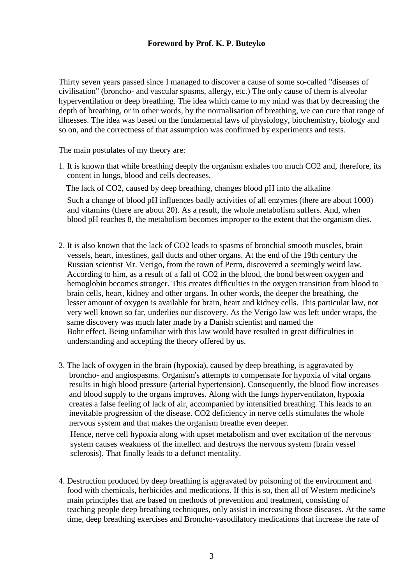## **Foreword by Prof. K. P. Buteyko**

Thirty seven years passed since I managed to discover a cause of some so-called "diseases of civilisation" (broncho- and vascular spasms, allergy, etc.) The only cause of them is alveolar hyperventilation or deep breathing. The idea which came to my mind was that by decreasing the depth of breathing, or in other words, by the normalisation of breathing, we can cure that range of illnesses. The idea was based on the fundamental laws of physiology, biochemistry, biology and so on, and the correctness of that assumption was confirmed by experiments and tests.

The main postulates of my theory are:

1. It is known that while breathing deeply the organism exhales too much CO2 and, therefore, its content in lungs, blood and cells decreases.

The lack of CO2, caused by deep breathing, changes blood pH into the alkaline

Such a change of blood pH influences badly activities of all enzymes (there are about 1000) and vitamins (there are about 20). As a result, the whole metabolism suffers. And, when blood pH reaches 8, the metabolism becomes improper to the extent that the organism dies.

- 2. It is also known that the lack of CO2 leads to spasms of bronchial smooth muscles, brain vessels, heart, intestines, gall ducts and other organs. At the end of the 19th century the Russian scientist Mr. Verigo, from the town of Perm, discovered a seemingly weird law. According to him, as a result of a fall of CO2 in the blood, the bond between oxygen and hemoglobin becomes stronger. This creates difficulties in the oxygen transition from blood to brain cells, heart, kidney and other organs. In other words, the deeper the breathing, the lesser amount of oxygen is available for brain, heart and kidney cells. This particular law, not very well known so far, underlies our discovery. As the Verigo law was left under wraps, the same discovery was much later made by a Danish scientist and named the Bohr effect. Being unfamiliar with this law would have resulted in great difficulties in understanding and accepting the theory offered by us.
- 3. The lack of oxygen in the brain (hypoxia), caused by deep breathing, is aggravated by broncho- and angiospasms. Organism's attempts to compensate for hypoxia of vital organs results in high blood pressure (arterial hypertension). Consequently, the blood flow increases and blood supply to the organs improves. Along with the lungs hyperventilaton, hypoxia creates a false feeling of lack of air, accompanied by intensified breathing. This leads to an inevitable progression of the disease. CO2 deficiency in nerve cells stimulates the whole nervous system and that makes the organism breathe even deeper.

Hence, nerve cell hypoxia along with upset metabolism and over excitation of the nervous system causes weakness of the intellect and destroys the nervous system (brain vessel sclerosis). That finally leads to a defunct mentality.

4. Destruction produced by deep breathing is aggravated by poisoning of the environment and food with chemicals, herbicides and medications. If this is so, then all of Western medicine's main principles that are based on methods of prevention and treatment, consisting of teaching people deep breathing techniques, only assist in increasing those diseases. At the same time, deep breathing exercises and Broncho-vasodilatory medications that increase the rate of